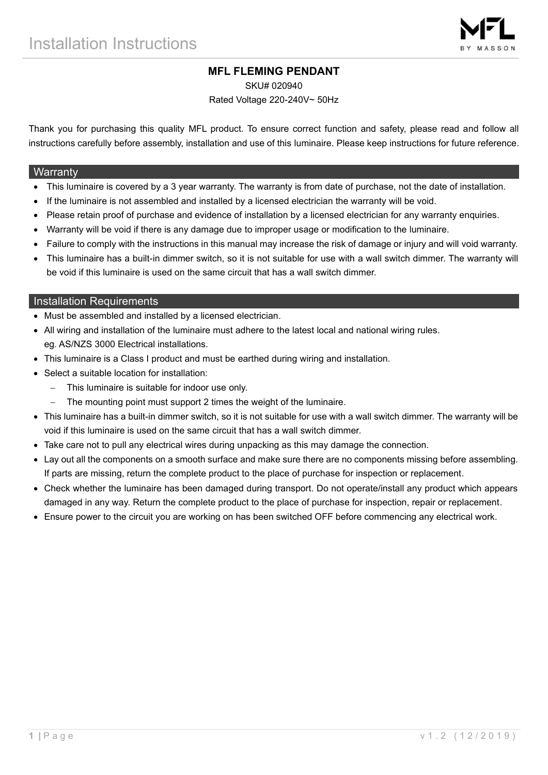# **MFL FLEMING PENDANT**

SKU# 020940

Rated Voltage 220-240V~ 50Hz

Thank you for purchasing this quality MFL product. To ensure correct function and safety, please read and follow all instructions carefully before assembly, installation and use of this luminaire. Please keep instructions for future reference.

### **Warranty**

- This luminaire is covered by a 3 year warranty. The warranty is from date of purchase, not the date of installation.
- If the luminaire is not assembled and installed by a licensed electrician the warranty will be void.
- Please retain proof of purchase and evidence of installation by a licensed electrician for any warranty enquiries.
- Warranty will be void if there is any damage due to improper usage or modification to the luminaire.
- Failure to comply with the instructions in this manual may increase the risk of damage or injury and will void warranty.
- This luminaire has a built-in dimmer switch, so it is not suitable for use with a wall switch dimmer. The warranty will be void if this luminaire is used on the same circuit that has a wall switch dimmer.

## Installation Requirements

- Must be assembled and installed by a licensed electrician.
- All wiring and installation of the luminaire must adhere to the latest local and national wiring rules. eg. AS/NZS 3000 Electrical installations.
- This luminaire is a Class I product and must be earthed during wiring and installation.
- Select a suitable location for installation:
	- This luminaire is suitable for indoor use only.
	- The mounting point must support 2 times the weight of the luminaire.
- This luminaire has a built-in dimmer switch, so it is not suitable for use with a wall switch dimmer. The warranty will be void if this luminaire is used on the same circuit that has a wall switch dimmer.
- Take care not to pull any electrical wires during unpacking as this may damage the connection.
- Lay out all the components on a smooth surface and make sure there are no components missing before assembling. If parts are missing, return the complete product to the place of purchase for inspection or replacement.
- Check whether the luminaire has been damaged during transport. Do not operate/install any product which appears damaged in any way. Return the complete product to the place of purchase for inspection, repair or replacement.
- Ensure power to the circuit you are working on has been switched OFF before commencing any electrical work.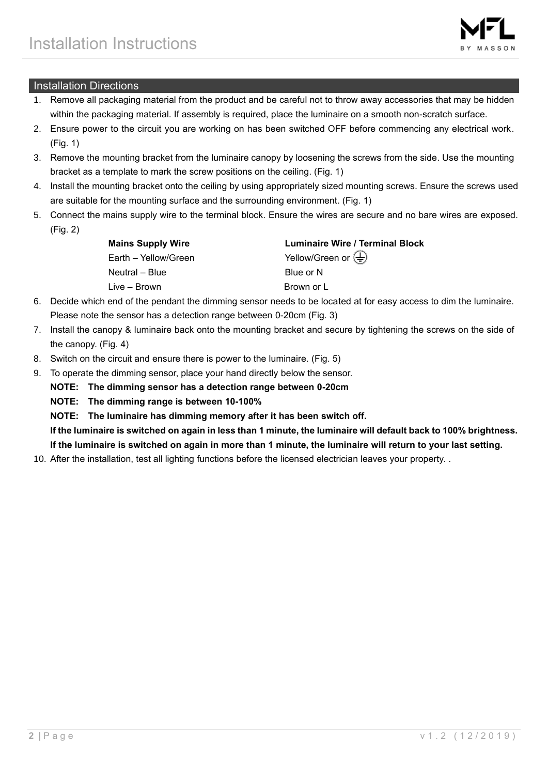

# Installation Directions

- 1. Remove all packaging material from the product and be careful not to throw away accessories that may be hidden within the packaging material. If assembly is required, place the luminaire on a smooth non-scratch surface.
- 2. Ensure power to the circuit you are working on has been switched OFF before commencing any electrical work. (Fig. 1)
- 3. Remove the mounting bracket from the luminaire canopy by loosening the screws from the side. Use the mounting bracket as a template to mark the screw positions on the ceiling. (Fig. 1)
- 4. Install the mounting bracket onto the ceiling by using appropriately sized mounting screws. Ensure the screws used are suitable for the mounting surface and the surrounding environment. (Fig. 1)
- 5. Connect the mains supply wire to the terminal block. Ensure the wires are secure and no bare wires are exposed. (Fig. 2)

| <b>Mains Supply Wire</b> | <b>Luminaire Wire / Terminal Block</b>               |
|--------------------------|------------------------------------------------------|
| Earth – Yellow/Green     | Yellow/Green or $\left(\frac{\Gamma}{\Gamma}\right)$ |
| Neutral – Blue           | Blue or N                                            |
| Live – Brown             | Brown or L                                           |
|                          |                                                      |

- 6. Decide which end of the pendant the dimming sensor needs to be located at for easy access to dim the luminaire. Please note the sensor has a detection range between 0-20cm (Fig. 3)
- 7. Install the canopy & luminaire back onto the mounting bracket and secure by tightening the screws on the side of the canopy. (Fig. 4)
- 8. Switch on the circuit and ensure there is power to the luminaire. (Fig. 5)
- 9. To operate the dimming sensor, place your hand directly below the sensor.
	- **NOTE: The dimming sensor has a detection range between 0-20cm**
	- **NOTE: The dimming range is between 10-100%**
	- **NOTE: The luminaire has dimming memory after it has been switch off.**

**If the luminaire is switched on again in less than 1 minute, the luminaire will default back to 100% brightness. If the luminaire is switched on again in more than 1 minute, the luminaire will return to your last setting.**

10. After the installation, test all lighting functions before the licensed electrician leaves your property. .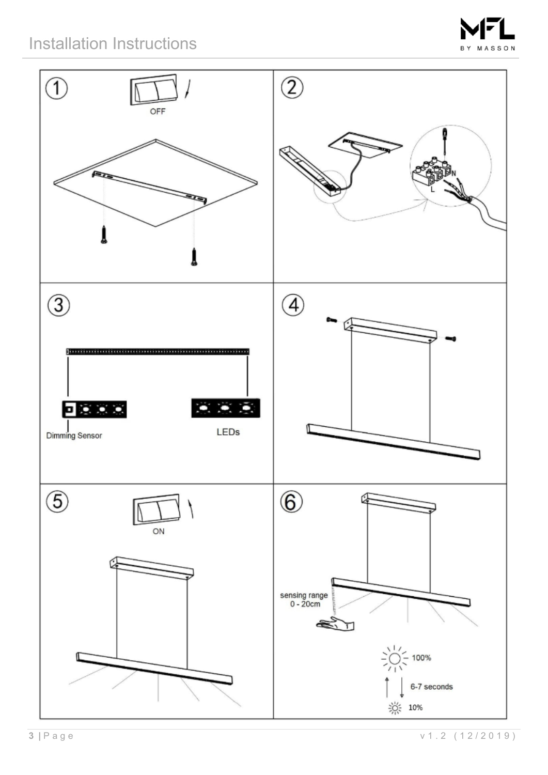# Installation Instructions